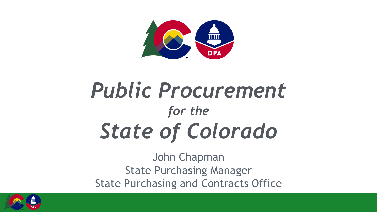

### *Public Procurement for the State of Colorado*

John Chapman State Purchasing Manager State Purchasing and Contracts Office

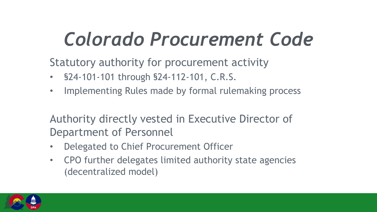Statutory authority for procurement activity

- §24-101-101 through §24-112-101, C.R.S.
- Implementing Rules made by formal rulemaking process

Authority directly vested in Executive Director of Department of Personnel

- Delegated to Chief Procurement Officer
- CPO further delegates limited authority state agencies (decentralized model)

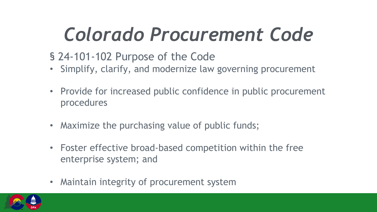#### § 24-101-102 Purpose of the Code

- Simplify, clarify, and modernize law governing procurement
- Provide for increased public confidence in public procurement procedures
- Maximize the purchasing value of public funds;
- Foster effective broad-based competition within the free enterprise system; and
- Maintain integrity of procurement system

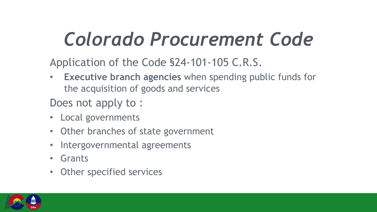Application of the Code §24-101-105 C.R.S.

**Executive branch agencies** when spending public funds for the acquisition of goods and services

Does not apply to :

- Local governments
- Other branches of state government
- Intergovernmental agreements
- **Grants**
- Other specified services

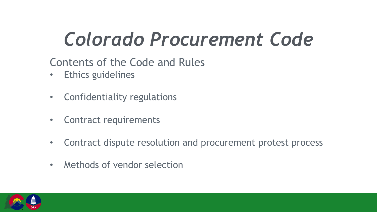#### Contents of the Code and Rules

- Ethics guidelines
- Confidentiality regulations
- Contract requirements
- Contract dispute resolution and procurement protest process
- Methods of vendor selection

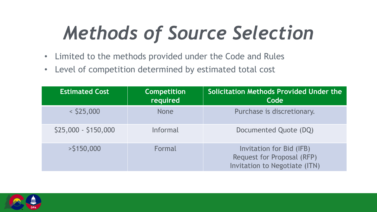## *Methods of Source Selection*

- Limited to the methods provided under the Code and Rules
- Level of competition determined by estimated total cost

| <b>Estimated Cost</b> | <b>Competition</b><br>required | <b>Solicitation Methods Provided Under the</b><br>Code                                  |
|-----------------------|--------------------------------|-----------------------------------------------------------------------------------------|
| $<$ \$25,000          | <b>None</b>                    | Purchase is discretionary.                                                              |
| \$25,000 - \$150,000  | Informal                       | Documented Quote (DQ)                                                                   |
| $>$ \$150,000         | Formal                         | Invitation for Bid (IFB)<br>Request for Proposal (RFP)<br>Invitation to Negotiate (ITN) |

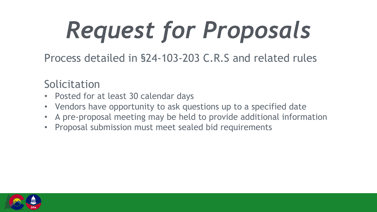Process detailed in §24-103-203 C.R.S and related rules

Solicitation

- Posted for at least 30 calendar days
- Vendors have opportunity to ask questions up to a specified date
- A pre-proposal meeting may be held to provide additional information
- Proposal submission must meet sealed bid requirements

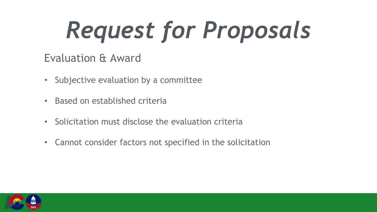#### Evaluation & Award

- Subjective evaluation by a committee
- Based on established criteria
- Solicitation must disclose the evaluation criteria
- Cannot consider factors not specified in the solicitation

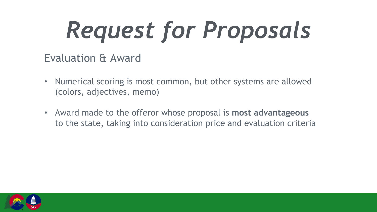#### Evaluation & Award

- Numerical scoring is most common, but other systems are allowed (colors, adjectives, memo)
- Award made to the offeror whose proposal is **most advantageous** to the state, taking into consideration price and evaluation criteria

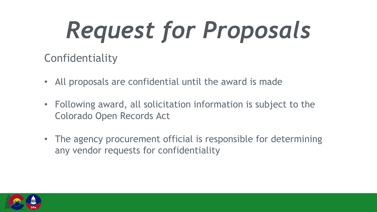#### Confidentiality

- All proposals are confidential until the award is made
- Following award, all solicitation information is subject to the Colorado Open Records Act
- The agency procurement official is responsible for determining any vendor requests for confidentiality

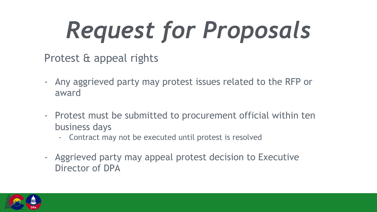Protest & appeal rights

- Any aggrieved party may protest issues related to the RFP or award
- Protest must be submitted to procurement official within ten business days
	- Contract may not be executed until protest is resolved
- Aggrieved party may appeal protest decision to Executive Director of DPA